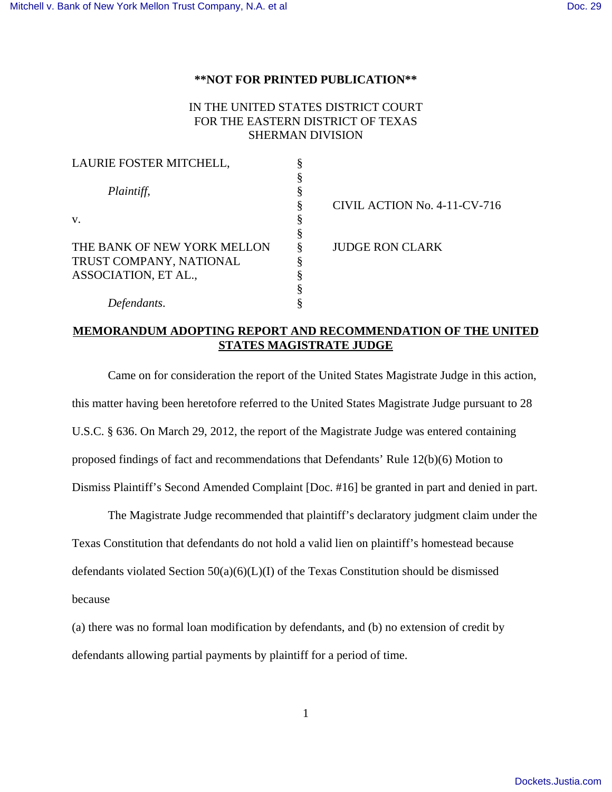## **\*\*NOT FOR PRINTED PUBLICATION\*\***

## IN THE UNITED STATES DISTRICT COURT FOR THE EASTERN DISTRICT OF TEXAS SHERMAN DIVISION

| LAURIE FOSTER MITCHELL,     |                              |
|-----------------------------|------------------------------|
|                             |                              |
| Plaintiff,                  |                              |
|                             | CIVIL ACTION No. 4-11-CV-716 |
| V.                          |                              |
|                             |                              |
| THE BANK OF NEW YORK MELLON | <b>JUDGE RON CLARK</b>       |
| TRUST COMPANY, NATIONAL     |                              |
| ASSOCIATION, ET AL.,        |                              |
|                             |                              |
| Defendants.                 |                              |

## **MEMORANDUM ADOPTING REPORT AND RECOMMENDATION OF THE UNITED STATES MAGISTRATE JUDGE**

Came on for consideration the report of the United States Magistrate Judge in this action, this matter having been heretofore referred to the United States Magistrate Judge pursuant to 28 U.S.C. § 636. On March 29, 2012, the report of the Magistrate Judge was entered containing proposed findings of fact and recommendations that Defendants' Rule 12(b)(6) Motion to

Dismiss Plaintiff's Second Amended Complaint [Doc. #16] be granted in part and denied in part.

The Magistrate Judge recommended that plaintiff's declaratory judgment claim under the Texas Constitution that defendants do not hold a valid lien on plaintiff's homestead because defendants violated Section 50(a)(6)(L)(I) of the Texas Constitution should be dismissed because

(a) there was no formal loan modification by defendants, and (b) no extension of credit by defendants allowing partial payments by plaintiff for a period of time.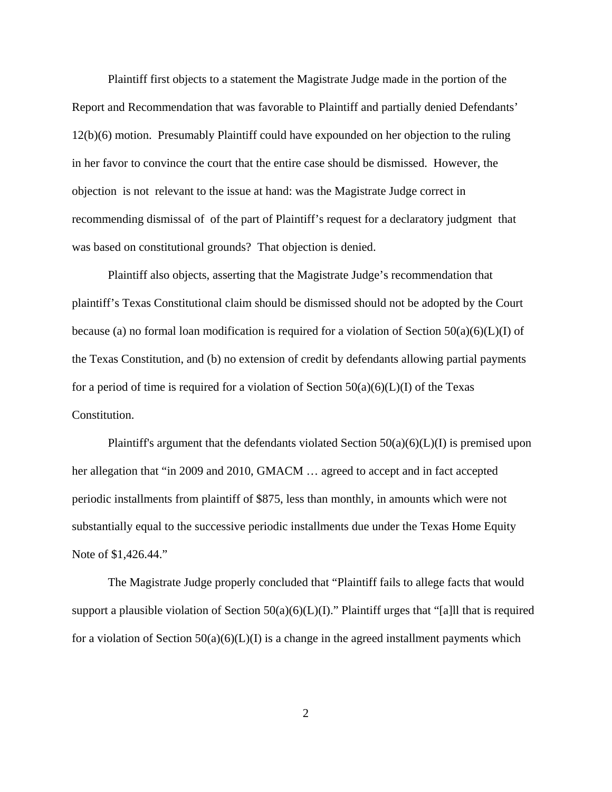Plaintiff first objects to a statement the Magistrate Judge made in the portion of the Report and Recommendation that was favorable to Plaintiff and partially denied Defendants' 12(b)(6) motion. Presumably Plaintiff could have expounded on her objection to the ruling in her favor to convince the court that the entire case should be dismissed. However, the objection is not relevant to the issue at hand: was the Magistrate Judge correct in recommending dismissal of of the part of Plaintiff's request for a declaratory judgment that was based on constitutional grounds? That objection is denied.

Plaintiff also objects, asserting that the Magistrate Judge's recommendation that plaintiff's Texas Constitutional claim should be dismissed should not be adopted by the Court because (a) no formal loan modification is required for a violation of Section  $50(a)(6)(L)(I)$  of the Texas Constitution, and (b) no extension of credit by defendants allowing partial payments for a period of time is required for a violation of Section  $50(a)(6)(L)(I)$  of the Texas Constitution.

Plaintiff's argument that the defendants violated Section  $50(a)(6)(L)(I)$  is premised upon her allegation that "in 2009 and 2010, GMACM ... agreed to accept and in fact accepted periodic installments from plaintiff of \$875, less than monthly, in amounts which were not substantially equal to the successive periodic installments due under the Texas Home Equity Note of \$1,426.44."

The Magistrate Judge properly concluded that "Plaintiff fails to allege facts that would support a plausible violation of Section  $50(a)(6)(L)(I)$ ." Plaintiff urges that "[a]ll that is required for a violation of Section  $50(a)(6)(L)(I)$  is a change in the agreed installment payments which

2